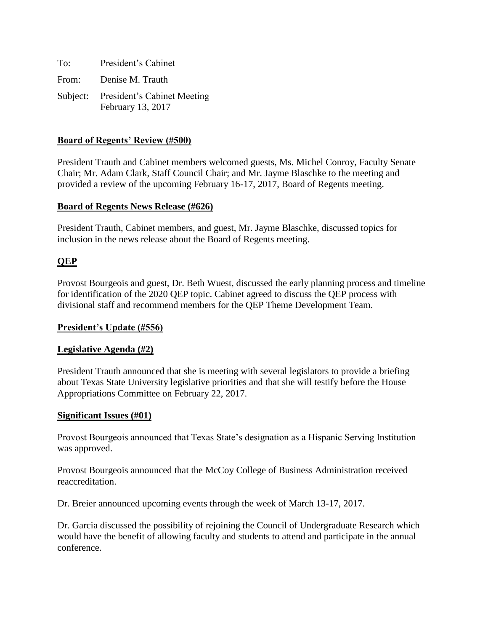| To: | President's Cabinet                                       |
|-----|-----------------------------------------------------------|
|     | From: Denise M. Trauth                                    |
|     | Subject: President's Cabinet Meeting<br>February 13, 2017 |

### **Board of Regents' Review (#500)**

President Trauth and Cabinet members welcomed guests, Ms. Michel Conroy, Faculty Senate Chair; Mr. Adam Clark, Staff Council Chair; and Mr. Jayme Blaschke to the meeting and provided a review of the upcoming February 16-17, 2017, Board of Regents meeting.

#### **Board of Regents News Release (#626)**

President Trauth, Cabinet members, and guest, Mr. Jayme Blaschke, discussed topics for inclusion in the news release about the Board of Regents meeting.

# **QEP**

Provost Bourgeois and guest, Dr. Beth Wuest, discussed the early planning process and timeline for identification of the 2020 QEP topic. Cabinet agreed to discuss the QEP process with divisional staff and recommend members for the QEP Theme Development Team.

#### **President's Update (#556)**

#### **Legislative Agenda (#2)**

President Trauth announced that she is meeting with several legislators to provide a briefing about Texas State University legislative priorities and that she will testify before the House Appropriations Committee on February 22, 2017.

#### **Significant Issues (#01)**

Provost Bourgeois announced that Texas State's designation as a Hispanic Serving Institution was approved.

Provost Bourgeois announced that the McCoy College of Business Administration received reaccreditation.

Dr. Breier announced upcoming events through the week of March 13-17, 2017.

Dr. Garcia discussed the possibility of rejoining the Council of Undergraduate Research which would have the benefit of allowing faculty and students to attend and participate in the annual conference.